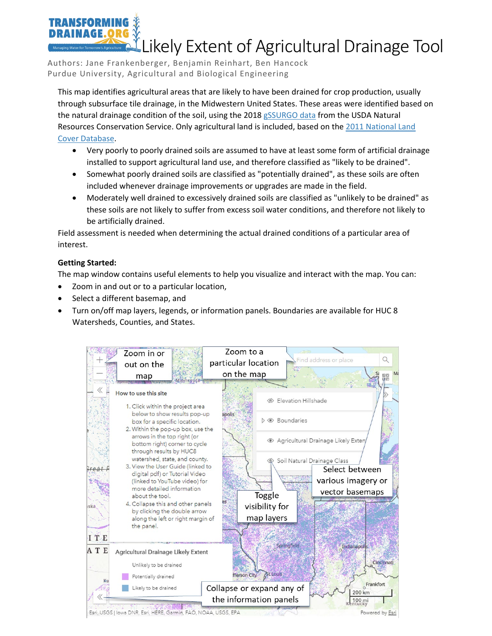## Likely Extent of Agricultural Drainage Tool

Authors: Jane Frankenberger, Benjamin Reinhart, Ben Hancock Purdue University, Agricultural and Biological Engineering

This map identifies agricultural areas that are likely to have been drained for crop production, usually through subsurface tile drainage, in the Midwestern United States. These areas were identified based on the natural drainage condition of the soil, using the 2018 [gSSURGO data](https://www.nrcs.usda.gov/wps/portal/nrcs/detail/soils/home/?cid=nrcs142p2_053628) from the USDA Natural Resources Conservation Service. Only agricultural land is included, based on the [2011 National Land](https://www.usgs.gov/centers/eros/science/national-land-cover-database?qt-science_center_objects=0#qt-science_center_objects)  [Cover Database.](https://www.usgs.gov/centers/eros/science/national-land-cover-database?qt-science_center_objects=0#qt-science_center_objects)

- Very poorly to poorly drained soils are assumed to have at least some form of artificial drainage installed to support agricultural land use, and therefore classified as "likely to be drained".
- Somewhat poorly drained soils are classified as "potentially drained", as these soils are often included whenever drainage improvements or upgrades are made in the field.
- Moderately well drained to excessively drained soils are classified as "unlikely to be drained" as these soils are not likely to suffer from excess soil water conditions, and therefore not likely to be artificially drained.

Field assessment is needed when determining the actual drained conditions of a particular area of interest.

## **Getting Started:**

**TRANSFORM** 

The map window contains useful elements to help you visualize and interact with the map. You can:

- Zoom in and out or to a particular location,
- Select a different basemap, and
- Turn on/off map layers, legends, or information panels. Boundaries are available for HUC 8 Watersheds, Counties, and States.

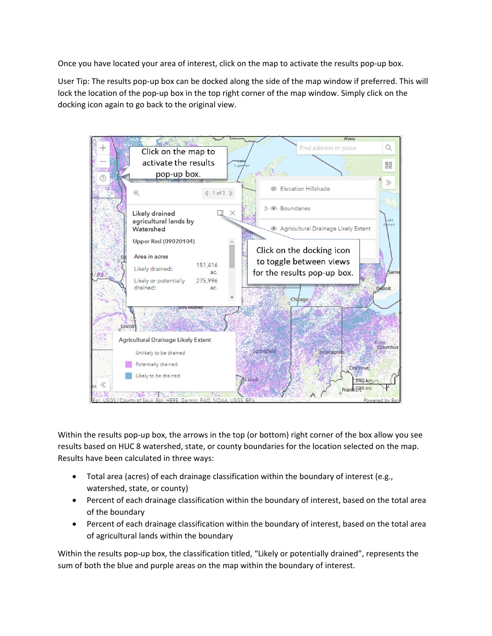Once you have located your area of interest, click on the map to activate the results pop-up box.

User Tip: The results pop-up box can be docked along the side of the map window if preferred. This will lock the location of the pop-up box in the top right corner of the map window. Simply click on the docking icon again to go back to the original view.



Within the results pop-up box, the arrows in the top (or bottom) right corner of the box allow you see results based on HUC 8 watershed, state, or county boundaries for the location selected on the map. Results have been calculated in three ways:

- Total area (acres) of each drainage classification within the boundary of interest (e.g., watershed, state, or county)
- Percent of each drainage classification within the boundary of interest, based on the total area of the boundary
- Percent of each drainage classification within the boundary of interest, based on the total area of agricultural lands within the boundary

Within the results pop-up box, the classification titled, "Likely or potentially drained", represents the sum of both the blue and purple areas on the map within the boundary of interest.